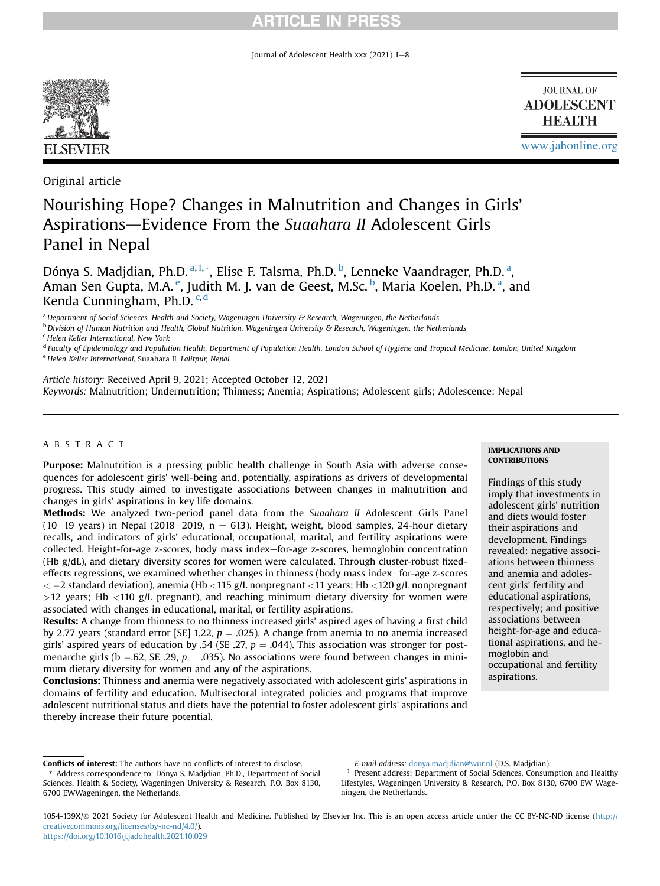Journal of Adolescent Health xxx (2021)  $1-8$ 



**JOURNAL OF ADOLESCENT HEALTH** 

[www.jahonline.org](http://www.jahonline.org)

Original article

# Nourishing Hope? Changes in Malnutrition and Changes in Girls' Aspirations-Evidence From the Suaahara II Adolescent Girls Panel in Nepal

Dóny[a](#page-0-0) S. Madjdian, Ph.D. <sup>a,[1,](#page-0-1)</sup>[\\*](#page-0-2), Elise F. Talsma, Ph.D. <sup>[b](#page-0-3)</sup>, Lenneke Vaandrager, Ph.D. <sup>a</sup>, Aman S[e](#page-0-4)n Gupta, M.A. <sup>e</sup>, Judith M. J. van de Geest, M.Sc. <sup>[b](#page-0-3)</sup>, M[a](#page-0-0)ria Koelen, Ph.D. <sup>a</sup>, and Kenda Cunningham, Ph.D.<sup>[c](#page-0-5),[d](#page-0-6)</sup>

<span id="page-0-0"></span><sup>a</sup> Department of Social Sciences, Health and Society, Wageningen University & Research, Wageningen, the Netherlands

<span id="page-0-3"></span> $b$  Division of Human Nutrition and Health, Global Nutrition, Wageningen University & Research, Wageningen, the Netherlands

<span id="page-0-5"></span><sup>c</sup> Helen Keller International, New York

<span id="page-0-6"></span><sup>d</sup> Faculty of Epidemiology and Population Health, Department of Population Health, London School of Hygiene and Tropical Medicine, London, United Kingdom

<span id="page-0-4"></span><sup>e</sup> Helen Keller International, Suaahara II, Lalitpur, Nepal

Article history: Received April 9, 2021; Accepted October 12, 2021 Keywords: Malnutrition; Undernutrition; Thinness; Anemia; Aspirations; Adolescent girls; Adolescence; Nepal

# ABSTRACT

Purpose: Malnutrition is a pressing public health challenge in South Asia with adverse consequences for adolescent girls' well-being and, potentially, aspirations as drivers of developmental progress. This study aimed to investigate associations between changes in malnutrition and changes in girls' aspirations in key life domains.

Methods: We analyzed two-period panel data from the Suaahara II Adolescent Girls Panel (10-19 years) in Nepal (2018-2019,  $n = 613$ ). Height, weight, blood samples, 24-hour dietary recalls, and indicators of girls' educational, occupational, marital, and fertility aspirations were collected. Height-for-age z-scores, body mass index-for-age z-scores, hemoglobin concentration (Hb g/dL), and dietary diversity scores for women were calculated. Through cluster-robust fixedeffects regressions, we examined whether changes in thinness (body mass index–for-age z-scores  $<-2$  standard deviation), anemia (Hb  $<$ 115 g/L nonpregnant  $<$ 11 years; Hb  $<$ 120 g/L nonpregnant  $>12$  years; Hb  $<$ 110 g/L pregnant), and reaching minimum dietary diversity for women were associated with changes in educational, marital, or fertility aspirations.

Results: A change from thinness to no thinness increased girls' aspired ages of having a first child by 2.77 years (standard error [SE] 1.22,  $p = .025$ ). A change from anemia to no anemia increased girls' aspired years of education by .54 (SE .27,  $p = .044$ ). This association was stronger for postmenarche girls (b  $-.62$ , SE  $.29$ ,  $p = .035$ ). No associations were found between changes in minimum dietary diversity for women and any of the aspirations.

Conclusions: Thinness and anemia were negatively associated with adolescent girls' aspirations in domains of fertility and education. Multisectoral integrated policies and programs that improve adolescent nutritional status and diets have the potential to foster adolescent girls' aspirations and thereby increase their future potential.

IMPLICATIONS AND **CONTRIBUTIONS** 

Findings of this study imply that investments in adolescent girls' nutrition and diets would foster their aspirations and development. Findings revealed: negative associations between thinness and anemia and adolescent girls' fertility and educational aspirations, respectively; and positive associations between height-for-age and educational aspirations, and hemoglobin and occupational and fertility aspirations.

E-mail address: [donya.madjdian@wur.nl](mailto:donya.madjdian@wur.nl) (D.S. Madjdian).

<span id="page-0-1"></span><sup>1</sup> Present address: Department of Social Sciences, Consumption and Healthy Lifestyles, Wageningen University & Research, P.O. Box 8130, 6700 EW Wageningen, the Netherlands.

1054-139X/© 2021 Society for Adolescent Health and Medicine. Published by Elsevier Inc. This is an open access article under the CC BY-NC-ND license [\(http://](http://creativecommons.org/licenses/by-nc-nd/4.0/) [creativecommons.org/licenses/by-nc-nd/4.0/](http://creativecommons.org/licenses/by-nc-nd/4.0/)). <https://doi.org/10.1016/j.jadohealth.2021.10.029>

<span id="page-0-2"></span>Conflicts of interest: The authors have no conflicts of interest to disclose. Address correspondence to: Dónya S. Madjdian, Ph.D., Department of Social Sciences, Health & Society, Wageningen University & Research, P.O. Box 8130, 6700 EWWageningen, the Netherlands.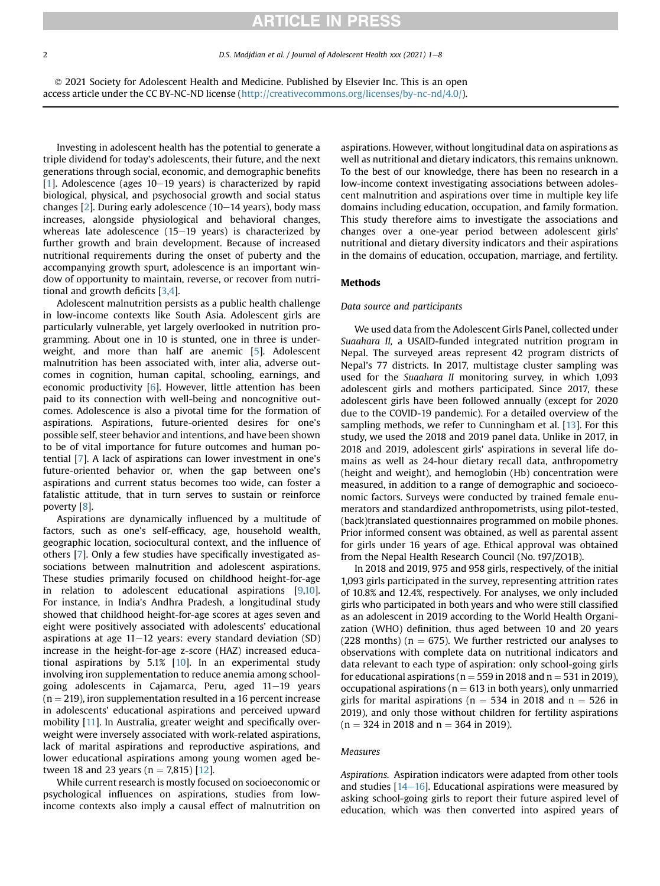2 D.S. Madjdian et al. / Journal of Adolescent Health xxx (2021) 1-8

 2021 Society for Adolescent Health and Medicine. Published by Elsevier Inc. This is an open access article under the CC BY-NC-ND license (<http://creativecommons.org/licenses/by-nc-nd/4.0/>).

Investing in adolescent health has the potential to generate a triple dividend for today's adolescents, their future, and the next generations through social, economic, and demographic benefits  $[1]$  $[1]$  $[1]$ . Adolescence (ages 10-19 years) is characterized by rapid biological, physical, and psychosocial growth and social status changes  $[2]$  $[2]$ . During early adolescence (10–14 years), body mass increases, alongside physiological and behavioral changes, whereas late adolescence  $(15-19$  years) is characterized by further growth and brain development. Because of increased nutritional requirements during the onset of puberty and the accompanying growth spurt, adolescence is an important window of opportunity to maintain, reverse, or recover from nutritional and growth deficits [\[3,](#page-6-2)[4](#page-6-3)].

Adolescent malnutrition persists as a public health challenge in low-income contexts like South Asia. Adolescent girls are particularly vulnerable, yet largely overlooked in nutrition programming. About one in 10 is stunted, one in three is underweight, and more than half are anemic [[5\]](#page-6-4). Adolescent malnutrition has been associated with, inter alia, adverse outcomes in cognition, human capital, schooling, earnings, and economic productivity [\[6](#page-6-5)]. However, little attention has been paid to its connection with well-being and noncognitive outcomes. Adolescence is also a pivotal time for the formation of aspirations. Aspirations, future-oriented desires for one's possible self, steer behavior and intentions, and have been shown to be of vital importance for future outcomes and human potential [\[7\]](#page-6-6). A lack of aspirations can lower investment in one's future-oriented behavior or, when the gap between one's aspirations and current status becomes too wide, can foster a fatalistic attitude, that in turn serves to sustain or reinforce poverty [\[8\]](#page-6-7).

Aspirations are dynamically influenced by a multitude of factors, such as one's self-efficacy, age, household wealth, geographic location, sociocultural context, and the influence of others [\[7](#page-6-6)]. Only a few studies have specifically investigated associations between malnutrition and adolescent aspirations. These studies primarily focused on childhood height-for-age in relation to adolescent educational aspirations [[9,](#page-6-8)[10\]](#page-6-9). For instance, in India's Andhra Pradesh, a longitudinal study showed that childhood height-for-age scores at ages seven and eight were positively associated with adolescents' educational aspirations at age  $11-12$  years: every standard deviation (SD) increase in the height-for-age z-score (HAZ) increased educational aspirations by 5.1% [\[10](#page-6-9)]. In an experimental study involving iron supplementation to reduce anemia among schoolgoing adolescents in Cajamarca, Peru, aged  $11-19$  years  $(n = 219)$ , iron supplementation resulted in a 16 percent increase in adolescents' educational aspirations and perceived upward mobility [\[11\]](#page-6-10). In Australia, greater weight and specifically overweight were inversely associated with work-related aspirations, lack of marital aspirations and reproductive aspirations, and lower educational aspirations among young women aged between 18 and 23 years ( $n = 7,815$ ) [[12\]](#page-6-11).

While current research is mostly focused on socioeconomic or psychological influences on aspirations, studies from lowincome contexts also imply a causal effect of malnutrition on

aspirations. However, without longitudinal data on aspirations as well as nutritional and dietary indicators, this remains unknown. To the best of our knowledge, there has been no research in a low-income context investigating associations between adolescent malnutrition and aspirations over time in multiple key life domains including education, occupation, and family formation. This study therefore aims to investigate the associations and changes over a one-year period between adolescent girls' nutritional and dietary diversity indicators and their aspirations in the domains of education, occupation, marriage, and fertility.

### Methods

### Data source and participants

We used data from the Adolescent Girls Panel, collected under Suaahara II, a USAID-funded integrated nutrition program in Nepal. The surveyed areas represent 42 program districts of Nepal's 77 districts. In 2017, multistage cluster sampling was used for the Suaahara II monitoring survey, in which 1,093 adolescent girls and mothers participated. Since 2017, these adolescent girls have been followed annually (except for 2020 due to the COVID-19 pandemic). For a detailed overview of the sampling methods, we refer to Cunningham et al. [\[13](#page-6-12)]. For this study, we used the 2018 and 2019 panel data. Unlike in 2017, in 2018 and 2019, adolescent girls' aspirations in several life domains as well as 24-hour dietary recall data, anthropometry (height and weight), and hemoglobin (Hb) concentration were measured, in addition to a range of demographic and socioeconomic factors. Surveys were conducted by trained female enumerators and standardized anthropometrists, using pilot-tested, (back)translated questionnaires programmed on mobile phones. Prior informed consent was obtained, as well as parental assent for girls under 16 years of age. Ethical approval was obtained from the Nepal Health Research Council (No. t97/ZO1B).

In 2018 and 2019, 975 and 958 girls, respectively, of the initial 1,093 girls participated in the survey, representing attrition rates of 10.8% and 12.4%, respectively. For analyses, we only included girls who participated in both years and who were still classified as an adolescent in 2019 according to the World Health Organization (WHO) definition, thus aged between 10 and 20 years (228 months) ( $n = 675$ ). We further restricted our analyses to observations with complete data on nutritional indicators and data relevant to each type of aspiration: only school-going girls for educational aspirations ( $n = 559$  in 2018 and  $n = 531$  in 2019), occupational aspirations ( $n = 613$  in both years), only unmarried girls for marital aspirations ( $n = 534$  in 2018 and  $n = 526$  in 2019), and only those without children for fertility aspirations  $(n = 324$  in 2018 and  $n = 364$  in 2019).

#### Measures

Aspirations. Aspiration indicators were adapted from other tools and studies  $[14-16]$  $[14-16]$  $[14-16]$  $[14-16]$ . Educational aspirations were measured by asking school-going girls to report their future aspired level of education, which was then converted into aspired years of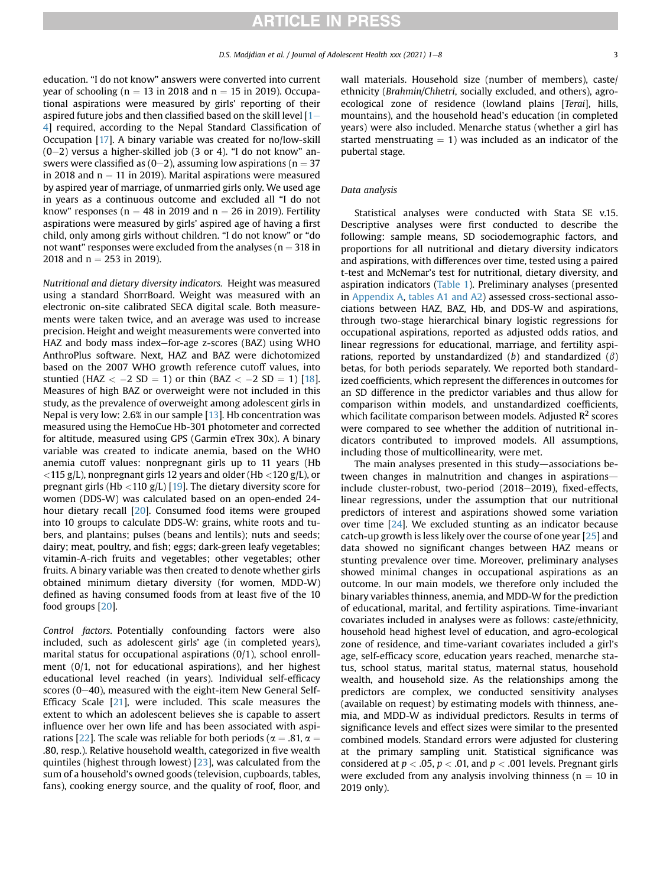education. "I do not know" answers were converted into current year of schooling ( $n = 13$  in 2018 and  $n = 15$  in 2019). Occupational aspirations were measured by girls' reporting of their aspired future jobs and then classified based on the skill level  $[1 [1 [1-$ [4](#page-6-0)] required, according to the Nepal Standard Classification of Occupation [\[17](#page-6-14)]. A binary variable was created for no/low-skill  $(0-2)$  versus a higher-skilled job  $(3 \text{ or } 4)$ . "I do not know" answers were classified as  $(0-2)$ , assuming low aspirations (n = 37 in 2018 and  $n = 11$  in 2019). Marital aspirations were measured by aspired year of marriage, of unmarried girls only. We used age in years as a continuous outcome and excluded all "I do not know" responses ( $n = 48$  in 2019 and  $n = 26$  in 2019). Fertility aspirations were measured by girls' aspired age of having a first child, only among girls without children. "I do not know" or "do not want" responses were excluded from the analyses ( $n = 318$  in 2018 and  $n = 253$  in 2019).

Nutritional and dietary diversity indicators. Height was measured using a standard ShorrBoard. Weight was measured with an electronic on-site calibrated SECA digital scale. Both measurements were taken twice, and an average was used to increase precision. Height and weight measurements were converted into HAZ and body mass index-for-age z-scores (BAZ) using WHO AnthroPlus software. Next, HAZ and BAZ were dichotomized based on the 2007 WHO growth reference cutoff values, into stuntied (HAZ  $<-2$  SD  $= 1$ ) or thin (BAZ  $<-2$  SD  $= 1$ ) [\[18\]](#page-6-15). Measures of high BAZ or overweight were not included in this study, as the prevalence of overweight among adolescent girls in Nepal is very low: 2.6% in our sample [\[13](#page-6-12)]. Hb concentration was measured using the HemoCue Hb-301 photometer and corrected for altitude, measured using GPS (Garmin eTrex 30x). A binary variable was created to indicate anemia, based on the WHO anemia cutoff values: nonpregnant girls up to 11 years (Hb  $<$  115 g/L), nonpregnant girls 12 years and older (Hb  $<$  120 g/L), or pregnant girls (Hb  $\langle 110 \text{ g/L} \rangle$  [\[19](#page-6-16)]. The dietary diversity score for women (DDS-W) was calculated based on an open-ended 24 hour dietary recall [[20](#page-6-17)]. Consumed food items were grouped into 10 groups to calculate DDS-W: grains, white roots and tubers, and plantains; pulses (beans and lentils); nuts and seeds; dairy; meat, poultry, and fish; eggs; dark-green leafy vegetables; vitamin-A-rich fruits and vegetables; other vegetables; other fruits. A binary variable was then created to denote whether girls obtained minimum dietary diversity (for women, MDD-W) defined as having consumed foods from at least five of the 10 food groups [\[20\]](#page-6-17).

Control factors. Potentially confounding factors were also included, such as adolescent girls' age (in completed years), marital status for occupational aspirations (0/1), school enrollment (0/1, not for educational aspirations), and her highest educational level reached (in years). Individual self-efficacy scores (0-40), measured with the eight-item New General Self-Efficacy Scale [[21](#page-7-0)], were included. This scale measures the extent to which an adolescent believes she is capable to assert influence over her own life and has been associated with aspi-rations [\[22\]](#page-7-1). The scale was reliable for both periods ( $\alpha = .81$ ,  $\alpha =$ .80, resp.). Relative household wealth, categorized in five wealth quintiles (highest through lowest) [\[23\]](#page-7-2), was calculated from the sum of a household's owned goods (television, cupboards, tables, fans), cooking energy source, and the quality of roof, floor, and

wall materials. Household size (number of members), caste/ ethnicity (Brahmin/Chhetri, socially excluded, and others), agroecological zone of residence (lowland plains [Terai], hills, mountains), and the household head's education (in completed years) were also included. Menarche status (whether a girl has started menstruating  $= 1$ ) was included as an indicator of the pubertal stage.

#### Data analysis

Statistical analyses were conducted with Stata SE v.15. Descriptive analyses were first conducted to describe the following: sample means, SD sociodemographic factors, and proportions for all nutritional and dietary diversity indicators and aspirations, with differences over time, tested using a paired t-test and McNemar's test for nutritional, dietary diversity, and aspiration indicators ([Table 1](#page-3-0)). Preliminary analyses (presented in Appendix A, tables A1 and A2) assessed cross-sectional associations between HAZ, BAZ, Hb, and DDS-W and aspirations, through two-stage hierarchical binary logistic regressions for occupational aspirations, reported as adjusted odds ratios, and linear regressions for educational, marriage, and fertility aspirations, reported by unstandardized (b) and standardized ( $\beta$ ) betas, for both periods separately. We reported both standardized coefficients, which represent the differences in outcomes for an SD difference in the predictor variables and thus allow for comparison within models, and unstandardized coefficients, which facilitate comparison between models. Adjusted  $\mathbb{R}^2$  scores were compared to see whether the addition of nutritional indicators contributed to improved models. All assumptions, including those of multicollinearity, were met.

The main analyses presented in this study-associations between changes in malnutrition and changes in aspirationsinclude cluster-robust, two-period (2018-2019), fixed-effects, linear regressions, under the assumption that our nutritional predictors of interest and aspirations showed some variation over time [[24](#page-7-3)]. We excluded stunting as an indicator because catch-up growth is less likely over the course of one year [[25](#page-7-4)] and data showed no significant changes between HAZ means or stunting prevalence over time. Moreover, preliminary analyses showed minimal changes in occupational aspirations as an outcome. In our main models, we therefore only included the binary variables thinness, anemia, and MDD-W for the prediction of educational, marital, and fertility aspirations. Time-invariant covariates included in analyses were as follows: caste/ethnicity, household head highest level of education, and agro-ecological zone of residence, and time-variant covariates included a girl's age, self-efficacy score, education years reached, menarche status, school status, marital status, maternal status, household wealth, and household size. As the relationships among the predictors are complex, we conducted sensitivity analyses (available on request) by estimating models with thinness, anemia, and MDD-W as individual predictors. Results in terms of significance levels and effect sizes were similar to the presented combined models. Standard errors were adjusted for clustering at the primary sampling unit. Statistical significance was considered at  $p < .05$ ,  $p < .01$ , and  $p < .001$  levels. Pregnant girls were excluded from any analysis involving thinness ( $n = 10$  in 2019 only).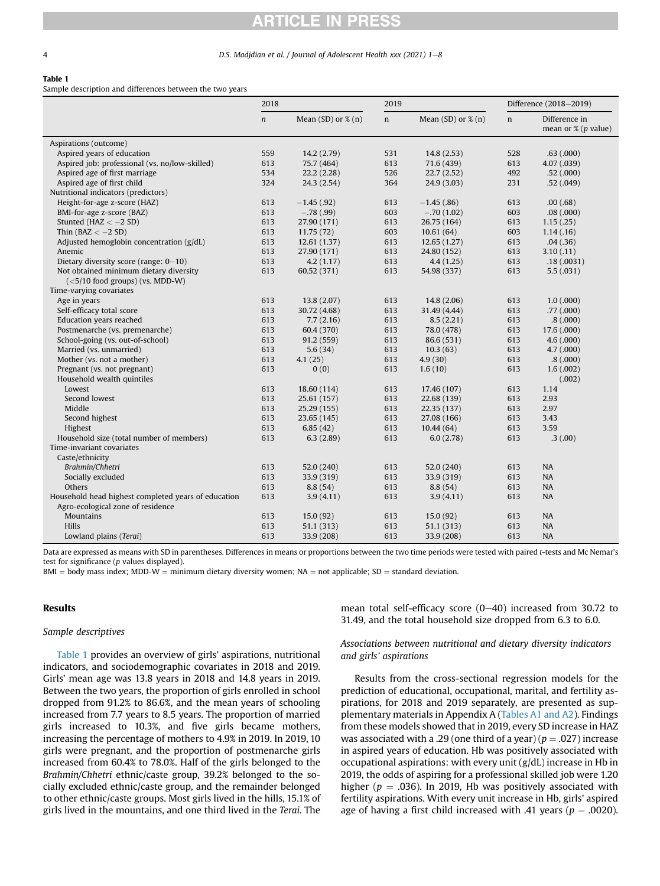#### 4 D.S. Madjdian et al. / Journal of Adolescent Health xxx (2021) 1-8

#### <span id="page-3-0"></span>Table 1

Sample description and differences between the two years

|                                                     | 2018          |                           | 2019        |                           | Difference (2018-2019) |                                                  |
|-----------------------------------------------------|---------------|---------------------------|-------------|---------------------------|------------------------|--------------------------------------------------|
|                                                     | $\mathfrak n$ | Mean $(SD)$ or $\%$ $(n)$ | $\mathbf n$ | Mean $(SD)$ or $\%$ $(n)$ | n                      | Difference in<br>mean or $\frac{9}{2}$ (p value) |
| Aspirations (outcome)                               |               |                           |             |                           |                        |                                                  |
| Aspired years of education                          | 559           | 14.2(2.79)                | 531         | 14.8(2.53)                | 528                    | .63(.000)                                        |
| Aspired job: professional (vs. no/low-skilled)      | 613           | 75.7 (464)                | 613         | 71.6 (439)                | 613                    | 4.07 (.039)                                      |
| Aspired age of first marriage                       | 534           | 22.2(2.28)                | 526         | 22.7(2.52)                | 492                    | .52(.000)                                        |
| Aspired age of first child                          | 324           | 24.3 (2.54)               | 364         | 24.9 (3.03)               | 231                    | .52(.049)                                        |
| Nutritional indicators (predictors)                 |               |                           |             |                           |                        |                                                  |
| Height-for-age z-score (HAZ)                        | 613           | $-1.45$ (.92)             | 613         | $-1.45(.86)$              | 613                    | .00(.68)                                         |
| BMI-for-age z-score (BAZ)                           | 613           | $-.78(.99)$               | 603         | $-.70(1.02)$              | 603                    | .08(.000)                                        |
| Stunted (HAZ $<-2$ SD)                              | 613           | 27.90 (171)               | 613         | 26.75 (164)               | 613                    | 1.15(.25)                                        |
| Thin ( $BAZ < -2 SD$ )                              | 613           | 11.75(72)                 | 603         | 10.61(64)                 | 603                    | 1.14(0.16)                                       |
| Adjusted hemoglobin concentration $(g/dL)$          | 613           | 12.61(1.37)               | 613         | 12.65(1.27)               | 613                    | .04(.36)                                         |
| Anemic                                              | 613           | 27.90 (171)               | 613         | 24.80 (152)               | 613                    | 3.10(0.11)                                       |
| Dietary diversity score (range: 0-10)               | 613           | 4.2(1.17)                 | 613         | 4.4(1.25)                 | 613                    | .18(.0031)                                       |
| Not obtained minimum dietary diversity              | 613           | 60.52 (371)               | 613         | 54.98 (337)               | 613                    | 5.5(.031)                                        |
| $(<5/10$ food groups) (vs. MDD-W)                   |               |                           |             |                           |                        |                                                  |
| Time-varying covariates                             |               |                           |             |                           |                        |                                                  |
| Age in years                                        | 613           | 13.8(2.07)                | 613         | 14.8(2.06)                | 613                    | 1.0(0.000)                                       |
| Self-efficacy total score                           | 613           | 30.72 (4.68)              | 613         | 31.49 (4.44)              | 613                    | .77(000)                                         |
| Education years reached                             | 613           | 7.7(2.16)                 | 613         | 8.5(2.21)                 | 613                    | .8(0.000)                                        |
| Postmenarche (vs. premenarche)                      | 613           | 60.4 (370)                | 613         | 78.0 (478)                | 613                    | 17.6 (.000)                                      |
| School-going (vs. out-of-school)                    | 613           | 91.2 (559)                | 613         | 86.6 (531)                | 613                    | 4.6(.000)                                        |
| Married (vs. unmarried)                             | 613           | 5.6(34)                   | 613         | 10.3(63)                  | 613                    | 4.7(000)                                         |
| Mother (vs. not a mother)                           | 613           | 4.1(25)                   | 613         | 4.9(30)                   | 613                    | .8(0.000)                                        |
| Pregnant (vs. not pregnant)                         | 613           | 0(0)                      | 613         | 1.6(10)                   | 613                    | 1.6(.002)                                        |
| Household wealth quintiles                          |               |                           |             |                           |                        | (.002)                                           |
| Lowest                                              | 613           | 18.60 (114)               | 613         | 17.46 (107)               | 613                    | 1.14                                             |
| Second lowest                                       | 613           | 25.61 (157)               | 613         | 22.68 (139)               | 613                    | 2.93                                             |
| Middle                                              | 613           | 25.29 (155)               | 613         | 22.35 (137)               | 613                    | 2.97                                             |
| Second highest                                      | 613           | 23.65 (145)               | 613         | 27.08 (166)               | 613                    | 3.43                                             |
| Highest                                             | 613           | 6.85(42)                  | 613         | 10.44(64)                 | 613                    | 3.59                                             |
| Household size (total number of members)            | 613           | 6.3(2.89)                 | 613         | 6.0(2.78)                 | 613                    | .3(0.00)                                         |
| Time-invariant covariates                           |               |                           |             |                           |                        |                                                  |
| Caste/ethnicity                                     |               |                           |             |                           |                        |                                                  |
| Brahmin/Chhetri                                     | 613           | 52.0 (240)                | 613         | 52.0 (240)                | 613                    | <b>NA</b>                                        |
| Socially excluded                                   | 613           | 33.9 (319)                | 613         | 33.9 (319)                | 613                    | NA                                               |
| Others                                              | 613           | 8.8(54)                   | 613         | 8.8(54)                   | 613                    | <b>NA</b>                                        |
| Household head highest completed years of education | 613           | 3.9(4.11)                 | 613         | 3.9(4.11)                 | 613                    | <b>NA</b>                                        |
| Agro-ecological zone of residence                   |               |                           |             |                           |                        |                                                  |
| <b>Mountains</b>                                    | 613           | 15.0(92)                  | 613         | 15.0(92)                  | 613                    | <b>NA</b>                                        |
| Hills                                               | 613           | 51.1 (313)                | 613         | 51.1 (313)                | 613                    | <b>NA</b>                                        |
| Lowland plains (Terai)                              | 613           | 33.9 (208)                | 613         | 33.9 (208)                | 613                    | <b>NA</b>                                        |

Data are expressed as means with SD in parentheses. Differences in means or proportions between the two time periods were tested with paired t-tests and Mc Nemar's test for significance (p values displayed).

 $BMI = body$  mass index; MDD-W = minimum dietary diversity women; NA = not applicable; SD = standard deviation.

### Results

### Sample descriptives

[Table 1](#page-3-0) provides an overview of girls' aspirations, nutritional indicators, and sociodemographic covariates in 2018 and 2019. Girls' mean age was 13.8 years in 2018 and 14.8 years in 2019. Between the two years, the proportion of girls enrolled in school dropped from 91.2% to 86.6%, and the mean years of schooling increased from 7.7 years to 8.5 years. The proportion of married girls increased to 10.3%, and five girls became mothers, increasing the percentage of mothers to 4.9% in 2019. In 2019, 10 girls were pregnant, and the proportion of postmenarche girls increased from 60.4% to 78.0%. Half of the girls belonged to the Brahmin/Chhetri ethnic/caste group, 39.2% belonged to the socially excluded ethnic/caste group, and the remainder belonged to other ethnic/caste groups. Most girls lived in the hills, 15.1% of girls lived in the mountains, and one third lived in the Terai. The

mean total self-efficacy score  $(0-40)$  increased from 30.72 to 31.49, and the total household size dropped from 6.3 to 6.0.

# Associations between nutritional and dietary diversity indicators and girls' aspirations

Results from the cross-sectional regression models for the prediction of educational, occupational, marital, and fertility aspirations, for 2018 and 2019 separately, are presented as supplementary materials in Appendix A (Tables A1 and A2). Findings from these models showed that in 2019, every SD increase in HAZ was associated with a .29 (one third of a year) ( $p = .027$ ) increase in aspired years of education. Hb was positively associated with occupational aspirations: with every unit (g/dL) increase in Hb in 2019, the odds of aspiring for a professional skilled job were 1.20 higher ( $p = .036$ ). In 2019, Hb was positively associated with fertility aspirations. With every unit increase in Hb, girls' aspired age of having a first child increased with .41 years ( $p = .0020$ ).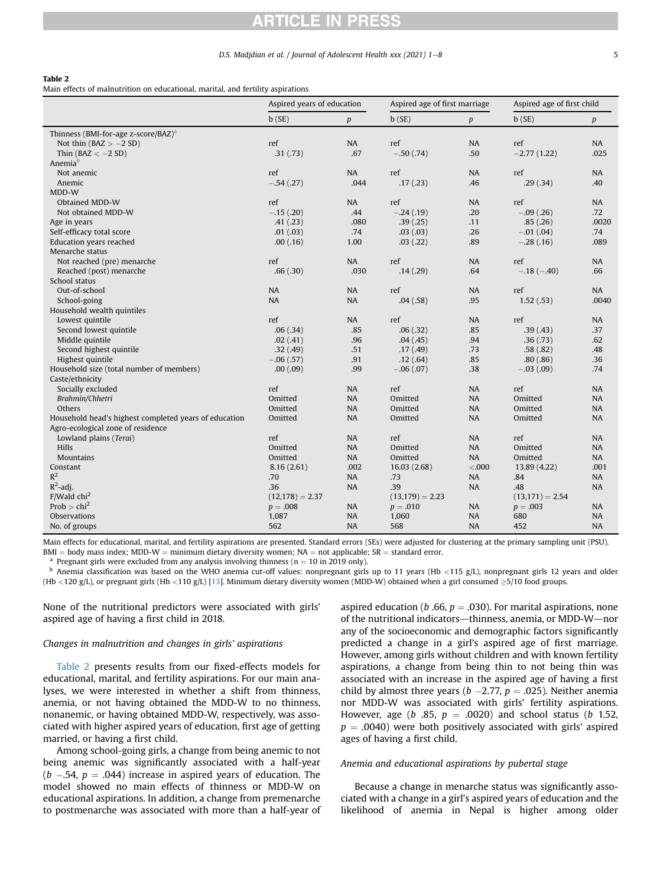#### D.S. Madjdian et al. / Journal of Adolescent Health xxx (2021) 1-8 5

### <span id="page-4-0"></span>Table 2

Main effects of malnutrition on educational, marital, and fertility aspirations

|                                                       | Aspired years of education |                  | Aspired age of first marriage |           | Aspired age of first child |                  |  |
|-------------------------------------------------------|----------------------------|------------------|-------------------------------|-----------|----------------------------|------------------|--|
|                                                       | b(SE)                      | $\boldsymbol{p}$ | b(SE)                         | p         | b(SE)                      | $\boldsymbol{p}$ |  |
| Thinness (BMI-for-age z-score/BAZ) <sup>a</sup>       |                            |                  |                               |           |                            |                  |  |
| Not thin $(BAZ > -2 SD)$                              | ref                        | NA               | ref                           | <b>NA</b> | ref                        | <b>NA</b>        |  |
| Thin ( $BAZ < -2 SD$ )                                | .31(.73)                   | .67              | $-.50(.74)$                   | .50       | $-2.77(1.22)$              | .025             |  |
| Anemia <sup>b</sup>                                   |                            |                  |                               |           |                            |                  |  |
| Not anemic                                            | ref                        | NA               | ref                           | NA        | ref                        | <b>NA</b>        |  |
| Anemic                                                | $-.54(.27)$                | .044             | .17(.23)                      | .46       | .29(.34)                   | .40              |  |
| MDD-W                                                 |                            |                  |                               |           |                            |                  |  |
| Obtained MDD-W                                        | ref                        | NA               | ref                           | <b>NA</b> | ref                        | <b>NA</b>        |  |
| Not obtained MDD-W                                    | $-.15(.20)$                | .44              | $-.24(.19)$                   | .20       | $-.09(.26)$                | .72              |  |
| Age in years                                          | .41(.23)                   | .080             | .39(.25)                      | .11       | .85(.26)                   | .0020            |  |
| Self-efficacy total score                             | .01(.03)                   | .74              | .03(.03)                      | .26       | $-.01(.04)$                | .74              |  |
| Education years reached                               | .00(0.16)                  | 1.00             | .03(.22)                      | .89       | $-.28(.16)$                | .089             |  |
| Menarche status                                       |                            |                  |                               |           |                            |                  |  |
| Not reached (pre) menarche                            | ref                        | NA               | ref                           | <b>NA</b> | ref                        | <b>NA</b>        |  |
| Reached (post) menarche                               | .66(.30)                   | .030             | .14(.29)                      | .64       | $-.18(-.40)$               | .66              |  |
| School status                                         |                            |                  |                               |           |                            |                  |  |
| Out-of-school                                         | <b>NA</b>                  | <b>NA</b>        | ref                           | <b>NA</b> | ref                        | NA               |  |
| School-going                                          | NA                         | NA               | .04(.58)                      | .95       | 1.52(.53)                  | .0040            |  |
| Household wealth quintiles                            |                            |                  |                               |           |                            |                  |  |
| Lowest quintile                                       | ref                        | NA               | ref                           | <b>NA</b> | ref                        | <b>NA</b>        |  |
| Second lowest quintile                                | .06(.34)                   | .85              | .06(.32)                      | .85       | .39(.43)                   | .37              |  |
| Middle quintile                                       | .02(.41)                   | .96              | .04(.45)                      | .94       | .36(.73)                   | .62              |  |
| Second highest quintile                               | .32(.49)                   | .51              | .17(.49)                      | .73       | .58(.82)                   | .48              |  |
| Highest quintile                                      | $-.06(.57)$                | .91              | .12(.64)                      | .85       | .80(.86)                   | .36              |  |
| Household size (total number of members)              | .00(.09)                   | .99              | $-.06(.07)$                   | .38       | $-.03(.09)$                | .74              |  |
| Caste/ethnicity                                       |                            |                  |                               |           |                            |                  |  |
| Socially excluded                                     | ref                        | <b>NA</b>        | ref                           | <b>NA</b> | ref                        | <b>NA</b>        |  |
| Brahmin/Chhetri                                       | Omitted                    | NA               | Omitted                       | <b>NA</b> | Omitted                    | <b>NA</b>        |  |
| Others                                                | Omitted                    | <b>NA</b>        | Omitted                       | <b>NA</b> | Omitted                    | <b>NA</b>        |  |
| Household head's highest completed years of education | Omitted                    | <b>NA</b>        | Omitted                       | <b>NA</b> | Omitted                    | <b>NA</b>        |  |
| Agro-ecological zone of residence                     |                            |                  |                               |           |                            |                  |  |
| Lowland plains (Terai)                                | ref                        | <b>NA</b>        | ref                           | NA        | ref                        | <b>NA</b>        |  |
| <b>Hills</b>                                          | Omitted                    | NA               | Omitted                       | <b>NA</b> | Omitted                    | <b>NA</b>        |  |
| <b>Mountains</b>                                      | Omitted                    | NA               | Omitted                       | <b>NA</b> | Omitted                    | <b>NA</b>        |  |
| Constant                                              | 8.16(2.61)                 | .002             | 16.03(2.68)                   | < .000    | 13.89 (4.22)               | .001             |  |
| $R^2$                                                 | .70                        | NA               | .73                           | <b>NA</b> | .84                        | <b>NA</b>        |  |
| $R^2$ -adj.                                           | .36                        | <b>NA</b>        | .39                           | <b>NA</b> | .48                        | <b>NA</b>        |  |
| $F/W$ ald chi <sup>2</sup>                            | $(12,178) = 2.37$          |                  | $(13,179) = 2.23$             |           | $(13,171) = 2.54$          |                  |  |
| Prob $>$ chi <sup>2</sup>                             | $p=.008$                   | <b>NA</b>        | $p = .010$                    | <b>NA</b> | $p=.003$                   | NA               |  |
| <b>Observations</b>                                   | 1,087                      | <b>NA</b>        | 1,060                         | <b>NA</b> | 680                        | <b>NA</b>        |  |
| No. of groups                                         | 562                        | <b>NA</b>        | 568                           | <b>NA</b> | 452                        | <b>NA</b>        |  |

Main effects for educational, marital, and fertility aspirations are presented. Standard errors (SEs) were adjusted for clustering at the primary sampling unit (PSU).

BMI = body mass index; MDD-W = minimum dietary diversity women; NA = not applicable; SR = standard error.<br><sup>a</sup> Pregnant girls were excluded from any analysis involving thinness (n = 10 in 2019 only).<br><sup>b</sup> Anemia classificat (Hb <120 g/L), or pregnant girls (Hb <110 g/L) [[13](#page-6-12)]. Minimum dietary diversity women (MDD-W) obtained when a girl consumed  $\geq$ 5/10 food groups.

None of the nutritional predictors were associated with girls' aspired age of having a first child in 2018.

# Changes in malnutrition and changes in girls' aspirations

[Table 2](#page-4-0) presents results from our fixed-effects models for educational, marital, and fertility aspirations. For our main analyses, we were interested in whether a shift from thinness, anemia, or not having obtained the MDD-W to no thinness, nonanemic, or having obtained MDD-W, respectively, was associated with higher aspired years of education, first age of getting married, or having a first child.

Among school-going girls, a change from being anemic to not being anemic was significantly associated with a half-year  $(b - .54, p = .044)$  increase in aspired years of education. The model showed no main effects of thinness or MDD-W on educational aspirations. In addition, a change from premenarche to postmenarche was associated with more than a half-year of aspired education (*b* .66,  $p = .030$ ). For marital aspirations, none of the nutritional indicators—thinness, anemia, or MDD-W—nor any of the socioeconomic and demographic factors significantly predicted a change in a girl's aspired age of first marriage. However, among girls without children and with known fertility aspirations, a change from being thin to not being thin was associated with an increase in the aspired age of having a first child by almost three years ( $b - 2.77$ ,  $p = .025$ ). Neither anemia nor MDD-W was associated with girls' fertility aspirations. However, age (b .85,  $p = .0020$ ) and school status (b 1.52,  $p = .0040$ ) were both positively associated with girls' aspired ages of having a first child.

#### Anemia and educational aspirations by pubertal stage

Because a change in menarche status was significantly associated with a change in a girl's aspired years of education and the likelihood of anemia in Nepal is higher among older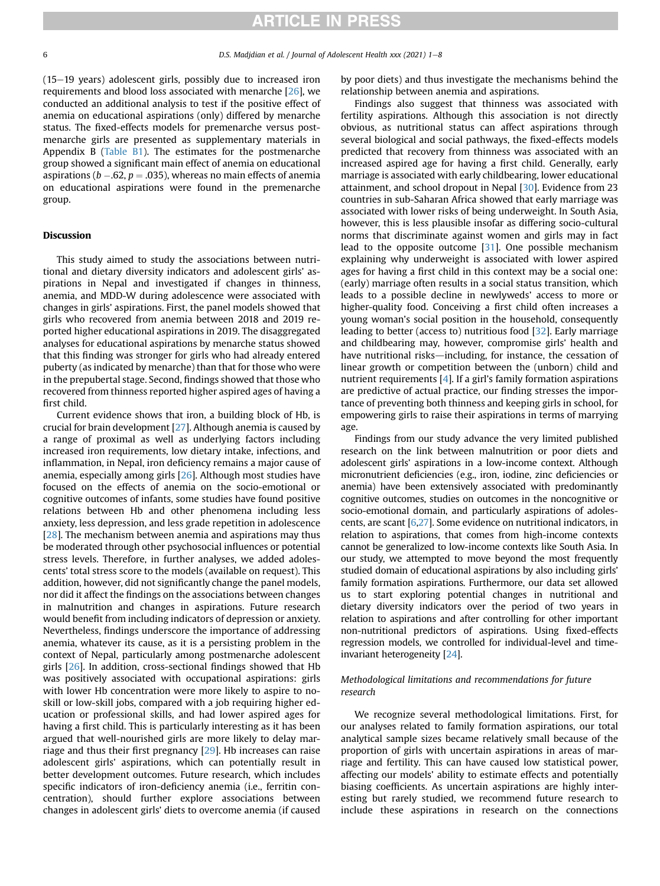$(15-19$  years) adolescent girls, possibly due to increased iron requirements and blood loss associated with menarche [[26](#page-7-5)], we conducted an additional analysis to test if the positive effect of anemia on educational aspirations (only) differed by menarche status. The fixed-effects models for premenarche versus postmenarche girls are presented as supplementary materials in Appendix B (Table B1). The estimates for the postmenarche group showed a significant main effect of anemia on educational aspirations ( $b$  –.62,  $p$  = .035), whereas no main effects of anemia on educational aspirations were found in the premenarche group.

#### Discussion

This study aimed to study the associations between nutritional and dietary diversity indicators and adolescent girls' aspirations in Nepal and investigated if changes in thinness, anemia, and MDD-W during adolescence were associated with changes in girls' aspirations. First, the panel models showed that girls who recovered from anemia between 2018 and 2019 reported higher educational aspirations in 2019. The disaggregated analyses for educational aspirations by menarche status showed that this finding was stronger for girls who had already entered puberty (as indicated by menarche) than that for those who were in the prepubertal stage. Second, findings showed that those who recovered from thinness reported higher aspired ages of having a first child.

Current evidence shows that iron, a building block of Hb, is crucial for brain development [[27](#page-7-6)]. Although anemia is caused by a range of proximal as well as underlying factors including increased iron requirements, low dietary intake, infections, and inflammation, in Nepal, iron deficiency remains a major cause of anemia, especially among girls [\[26\]](#page-7-5). Although most studies have focused on the effects of anemia on the socio-emotional or cognitive outcomes of infants, some studies have found positive relations between Hb and other phenomena including less anxiety, less depression, and less grade repetition in adolescence [[28](#page-7-7)]. The mechanism between anemia and aspirations may thus be moderated through other psychosocial influences or potential stress levels. Therefore, in further analyses, we added adolescents' total stress score to the models (available on request). This addition, however, did not significantly change the panel models, nor did it affect the findings on the associations between changes in malnutrition and changes in aspirations. Future research would benefit from including indicators of depression or anxiety. Nevertheless, findings underscore the importance of addressing anemia, whatever its cause, as it is a persisting problem in the context of Nepal, particularly among postmenarche adolescent girls [\[26\]](#page-7-5). In addition, cross-sectional findings showed that Hb was positively associated with occupational aspirations: girls with lower Hb concentration were more likely to aspire to noskill or low-skill jobs, compared with a job requiring higher education or professional skills, and had lower aspired ages for having a first child. This is particularly interesting as it has been argued that well-nourished girls are more likely to delay marriage and thus their first pregnancy [\[29\]](#page-7-8). Hb increases can raise adolescent girls' aspirations, which can potentially result in better development outcomes. Future research, which includes specific indicators of iron-deficiency anemia (i.e., ferritin concentration), should further explore associations between changes in adolescent girls' diets to overcome anemia (if caused

by poor diets) and thus investigate the mechanisms behind the relationship between anemia and aspirations.

Findings also suggest that thinness was associated with fertility aspirations. Although this association is not directly obvious, as nutritional status can affect aspirations through several biological and social pathways, the fixed-effects models predicted that recovery from thinness was associated with an increased aspired age for having a first child. Generally, early marriage is associated with early childbearing, lower educational attainment, and school dropout in Nepal [[30](#page-7-9)]. Evidence from 23 countries in sub-Saharan Africa showed that early marriage was associated with lower risks of being underweight. In South Asia, however, this is less plausible insofar as differing socio-cultural norms that discriminate against women and girls may in fact lead to the opposite outcome [\[31\]](#page-7-10). One possible mechanism explaining why underweight is associated with lower aspired ages for having a first child in this context may be a social one: (early) marriage often results in a social status transition, which leads to a possible decline in newlyweds' access to more or higher-quality food. Conceiving a first child often increases a young woman's social position in the household, consequently leading to better (access to) nutritious food [[32](#page-7-11)]. Early marriage and childbearing may, however, compromise girls' health and have nutritional risks-including, for instance, the cessation of linear growth or competition between the (unborn) child and nutrient requirements [[4\]](#page-6-3). If a girl's family formation aspirations are predictive of actual practice, our finding stresses the importance of preventing both thinness and keeping girls in school, for empowering girls to raise their aspirations in terms of marrying age.

Findings from our study advance the very limited published research on the link between malnutrition or poor diets and adolescent girls' aspirations in a low-income context. Although micronutrient deficiencies (e.g., iron, iodine, zinc deficiencies or anemia) have been extensively associated with predominantly cognitive outcomes, studies on outcomes in the noncognitive or socio-emotional domain, and particularly aspirations of adolescents, are scant [[6,](#page-6-5)[27](#page-7-6)]. Some evidence on nutritional indicators, in relation to aspirations, that comes from high-income contexts cannot be generalized to low-income contexts like South Asia. In our study, we attempted to move beyond the most frequently studied domain of educational aspirations by also including girls' family formation aspirations. Furthermore, our data set allowed us to start exploring potential changes in nutritional and dietary diversity indicators over the period of two years in relation to aspirations and after controlling for other important non-nutritional predictors of aspirations. Using fixed-effects regression models, we controlled for individual-level and timeinvariant heterogeneity [[24](#page-7-3)].

# Methodological limitations and recommendations for future research

We recognize several methodological limitations. First, for our analyses related to family formation aspirations, our total analytical sample sizes became relatively small because of the proportion of girls with uncertain aspirations in areas of marriage and fertility. This can have caused low statistical power, affecting our models' ability to estimate effects and potentially biasing coefficients. As uncertain aspirations are highly interesting but rarely studied, we recommend future research to include these aspirations in research on the connections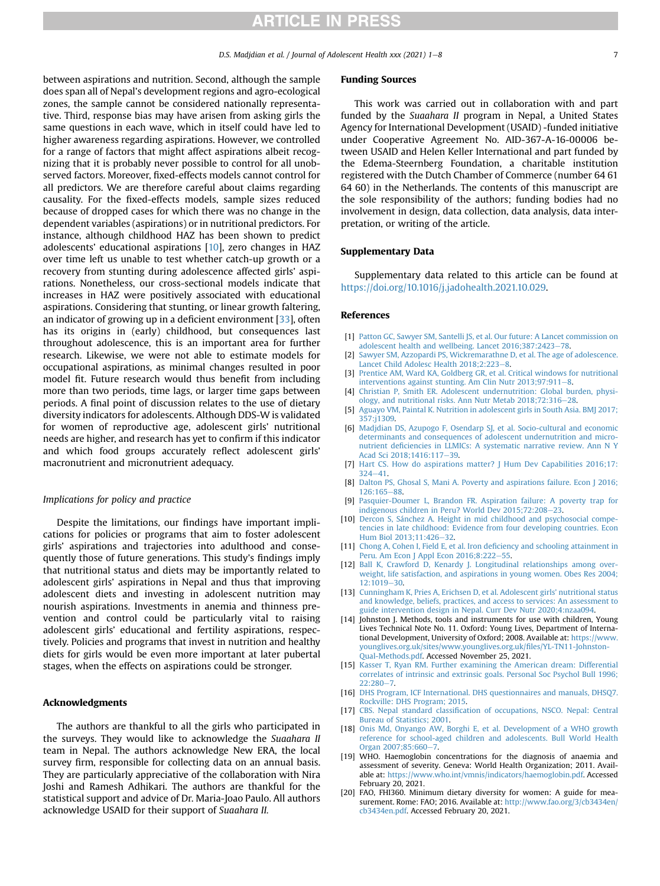between aspirations and nutrition. Second, although the sample does span all of Nepal's development regions and agro-ecological zones, the sample cannot be considered nationally representative. Third, response bias may have arisen from asking girls the same questions in each wave, which in itself could have led to higher awareness regarding aspirations. However, we controlled for a range of factors that might affect aspirations albeit recognizing that it is probably never possible to control for all unobserved factors. Moreover, fixed-effects models cannot control for all predictors. We are therefore careful about claims regarding causality. For the fixed-effects models, sample sizes reduced because of dropped cases for which there was no change in the dependent variables (aspirations) or in nutritional predictors. For instance, although childhood HAZ has been shown to predict adolescents' educational aspirations [\[10\]](#page-6-9), zero changes in HAZ over time left us unable to test whether catch-up growth or a recovery from stunting during adolescence affected girls' aspirations. Nonetheless, our cross-sectional models indicate that increases in HAZ were positively associated with educational aspirations. Considering that stunting, or linear growth faltering, an indicator of growing up in a deficient environment [[33](#page-7-12)], often has its origins in (early) childhood, but consequences last throughout adolescence, this is an important area for further research. Likewise, we were not able to estimate models for occupational aspirations, as minimal changes resulted in poor model fit. Future research would thus benefit from including more than two periods, time lags, or larger time gaps between periods. A final point of discussion relates to the use of dietary diversity indicators for adolescents. Although DDS-W is validated for women of reproductive age, adolescent girls' nutritional needs are higher, and research has yet to confirm if this indicator and which food groups accurately reflect adolescent girls' macronutrient and micronutrient adequacy.

# Implications for policy and practice

Despite the limitations, our findings have important implications for policies or programs that aim to foster adolescent girls' aspirations and trajectories into adulthood and consequently those of future generations. This study's findings imply that nutritional status and diets may be importantly related to adolescent girls' aspirations in Nepal and thus that improving adolescent diets and investing in adolescent nutrition may nourish aspirations. Investments in anemia and thinness prevention and control could be particularly vital to raising adolescent girls' educational and fertility aspirations, respectively. Policies and programs that invest in nutrition and healthy diets for girls would be even more important at later pubertal stages, when the effects on aspirations could be stronger.

### Acknowledgments

The authors are thankful to all the girls who participated in the surveys. They would like to acknowledge the Suaahara II team in Nepal. The authors acknowledge New ERA, the local survey firm, responsible for collecting data on an annual basis. They are particularly appreciative of the collaboration with Nira Joshi and Ramesh Adhikari. The authors are thankful for the statistical support and advice of Dr. Maria-Joao Paulo. All authors acknowledge USAID for their support of Suaahara II.

#### Funding Sources

This work was carried out in collaboration with and part funded by the Suaahara II program in Nepal, a United States Agency for International Development (USAID) -funded initiative under Cooperative Agreement No. AID-367-A-16-00006 between USAID and Helen Keller International and part funded by the Edema-Steernberg Foundation, a charitable institution registered with the Dutch Chamber of Commerce (number 64 61 64 60) in the Netherlands. The contents of this manuscript are the sole responsibility of the authors; funding bodies had no involvement in design, data collection, data analysis, data interpretation, or writing of the article.

#### Supplementary Data

Supplementary data related to this article can be found at [https://doi.org/10.1016/j.jadohealth.2021.10.029.](https://doi.org/10.1016/j.jadohealth.2021.10.029)

#### References

- <span id="page-6-0"></span>[1] [Patton GC, Sawyer SM, Santelli JS, et al. Our future: A Lancet commission on](http://refhub.elsevier.com/S1054-139X(21)00554-1/sref1) [adolescent health and wellbeing. Lancet 2016;387:2423](http://refhub.elsevier.com/S1054-139X(21)00554-1/sref1)-[78](http://refhub.elsevier.com/S1054-139X(21)00554-1/sref1).
- <span id="page-6-1"></span>[2] [Sawyer SM, Azzopardi PS, Wickremarathne D, et al. The age of adolescence.](http://refhub.elsevier.com/S1054-139X(21)00554-1/sref2) Lancet Child Adolesc Health 2018:2:223-[8.](http://refhub.elsevier.com/S1054-139X(21)00554-1/sref2)
- <span id="page-6-2"></span>[3] [Prentice AM, Ward KA, Goldberg GR, et al. Critical windows for nutritional](http://refhub.elsevier.com/S1054-139X(21)00554-1/sref3) interventions against stunting. Am Clin Nutr  $2013:97:911-8$  $2013:97:911-8$ .
- <span id="page-6-4"></span><span id="page-6-3"></span>[4] [Christian P, Smith ER. Adolescent undernutrition: Global burden, physi](http://refhub.elsevier.com/S1054-139X(21)00554-1/sref4)[ology, and nutritional risks. Ann Nutr Metab 2018;72:316](http://refhub.elsevier.com/S1054-139X(21)00554-1/sref4)-[28](http://refhub.elsevier.com/S1054-139X(21)00554-1/sref4).
- [5] [Aguayo VM, Paintal K. Nutrition in adolescent girls in South Asia. BMJ 2017;](http://refhub.elsevier.com/S1054-139X(21)00554-1/sref5) 357:i1309.
- <span id="page-6-5"></span>[6] [Madjdian DS, Azupogo F, Osendarp SJ, et al. Socio-cultural and economic](http://refhub.elsevier.com/S1054-139X(21)00554-1/sref6) [determinants and consequences of adolescent undernutrition and micro](http://refhub.elsevier.com/S1054-139X(21)00554-1/sref6)nutrient defi[ciencies in LLMICs: A systematic narrative review. Ann N Y](http://refhub.elsevier.com/S1054-139X(21)00554-1/sref6) [Acad Sci 2018;1416:117](http://refhub.elsevier.com/S1054-139X(21)00554-1/sref6)-[39](http://refhub.elsevier.com/S1054-139X(21)00554-1/sref6).
- <span id="page-6-7"></span><span id="page-6-6"></span>[7] [Hart CS. How do aspirations matter?](http://refhub.elsevier.com/S1054-139X(21)00554-1/sref7) J Hum Dev Capabilities 2016;17:  $324 - 41$  $324 - 41$  $324 - 41$
- <span id="page-6-8"></span>[8] [Dalton PS, Ghosal S, Mani A. Poverty and aspirations failure. Econ J 2016;](http://refhub.elsevier.com/S1054-139X(21)00554-1/sref8) [126:165](http://refhub.elsevier.com/S1054-139X(21)00554-1/sref8)-[88](http://refhub.elsevier.com/S1054-139X(21)00554-1/sref8).
- <span id="page-6-9"></span>[9] [Pasquier-Doumer L, Brandon FR. Aspiration failure: A poverty trap for](http://refhub.elsevier.com/S1054-139X(21)00554-1/sref9) [indigenous children in Peru? World Dev 2015;72:208](http://refhub.elsevier.com/S1054-139X(21)00554-1/sref9)-[23.](http://refhub.elsevier.com/S1054-139X(21)00554-1/sref9)
- [10] [Dercon S, Sánchez A. Height in mid childhood and psychosocial compe](http://refhub.elsevier.com/S1054-139X(21)00554-1/sref10)[tencies in late childhood: Evidence from four developing countries. Econ](http://refhub.elsevier.com/S1054-139X(21)00554-1/sref10) [Hum Biol 2013;11:426](http://refhub.elsevier.com/S1054-139X(21)00554-1/sref10)-[32](http://refhub.elsevier.com/S1054-139X(21)00554-1/sref10).
- <span id="page-6-11"></span><span id="page-6-10"></span>[11] [Chong A, Cohen I, Field E, et al. Iron de](http://refhub.elsevier.com/S1054-139X(21)00554-1/sref11)ficiency and schooling attainment in [Peru. Am Econ J Appl Econ 2016;8:222](http://refhub.elsevier.com/S1054-139X(21)00554-1/sref11)-[55.](http://refhub.elsevier.com/S1054-139X(21)00554-1/sref11)
- [12] [Ball K, Crawford D, Kenardy J. Longitudinal relationships among over](http://refhub.elsevier.com/S1054-139X(21)00554-1/sref12)[weight, life satisfaction, and aspirations in young women. Obes Res 2004;](http://refhub.elsevier.com/S1054-139X(21)00554-1/sref12)  $12:1019 - 30$  $12:1019 - 30$
- <span id="page-6-12"></span>[13] [Cunningham K, Pries A, Erichsen D, et al. Adolescent girls](http://refhub.elsevier.com/S1054-139X(21)00554-1/sref13)' nutritional status [and knowledge, beliefs, practices, and access to services: An assessment to](http://refhub.elsevier.com/S1054-139X(21)00554-1/sref13) [guide intervention design in Nepal. Curr Dev Nutr 2020;4:nzaa094.](http://refhub.elsevier.com/S1054-139X(21)00554-1/sref13)
- <span id="page-6-13"></span>[14] Johnston J. Methods, tools and instruments for use with children, Young Lives Technical Note No. 11. Oxford: Young Lives, Department of International Development, University of Oxford; 2008. Available at: [https://www.](https://www.younglives.org.uk/sites/www.younglives.org.uk/files/YL-TN11-Johnston-Qual-Methods.pdf) [younglives.org.uk/sites/www.younglives.org.uk/](https://www.younglives.org.uk/sites/www.younglives.org.uk/files/YL-TN11-Johnston-Qual-Methods.pdf)files/YL-TN11-Johnston-[Qual-Methods.pdf.](https://www.younglives.org.uk/sites/www.younglives.org.uk/files/YL-TN11-Johnston-Qual-Methods.pdf) Accessed November 25, 2021.
- [15] [Kasser T, Ryan RM. Further examining the American dream: Differential](http://refhub.elsevier.com/S1054-139X(21)00554-1/sref15) [correlates of intrinsic and extrinsic goals. Personal Soc Psychol Bull 1996;](http://refhub.elsevier.com/S1054-139X(21)00554-1/sref15)  $22:280 - 7$  $22:280 - 7$  $22:280 - 7$
- <span id="page-6-14"></span>[16] [DHS Program, ICF International. DHS questionnaires and manuals, DHSQ7.](http://refhub.elsevier.com/S1054-139X(21)00554-1/sref16) [Rockville: DHS Program; 2015.](http://refhub.elsevier.com/S1054-139X(21)00554-1/sref16)
- [17] CBS. Nepal standard classifi[cation of occupations, NSCO. Nepal: Central](http://refhub.elsevier.com/S1054-139X(21)00554-1/sref17) [Bureau of Statistics; 2001](http://refhub.elsevier.com/S1054-139X(21)00554-1/sref17).
- <span id="page-6-15"></span>[18] [Onis Md, Onyango AW, Borghi E, et al. Development of a WHO growth](http://refhub.elsevier.com/S1054-139X(21)00554-1/sref18) [reference for school-aged children and adolescents. Bull World Health](http://refhub.elsevier.com/S1054-139X(21)00554-1/sref18) [Organ 2007;85:660](http://refhub.elsevier.com/S1054-139X(21)00554-1/sref18)-[7.](http://refhub.elsevier.com/S1054-139X(21)00554-1/sref18)
- <span id="page-6-16"></span>[19] WHO. Haemoglobin concentrations for the diagnosis of anaemia and assessment of severity. Geneva: World Health Organization; 2011. Available at: <https://www.who.int/vmnis/indicators/haemoglobin.pdf>. Accessed February 20, 2021.
- <span id="page-6-17"></span>[20] FAO, FHI360. Minimum dietary diversity for women: A guide for measurement. Rome: FAO; 2016. Available at: [http://www.fao.org/3/cb3434en/](http://www.fao.org/3/cb3434en/cb3434en.pdf) [cb3434en.pdf](http://www.fao.org/3/cb3434en/cb3434en.pdf). Accessed February 20, 2021.